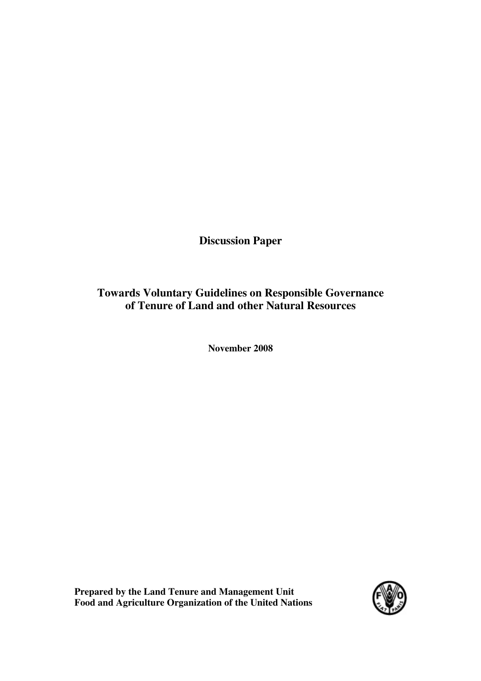**Discussion Paper** 

# **Towards Voluntary Guidelines on Responsible Governance of Tenure of Land and other Natural Resources**

**November 2008** 

**Prepared by the Land Tenure and Management Unit Food and Agriculture Organization of the United Nations**

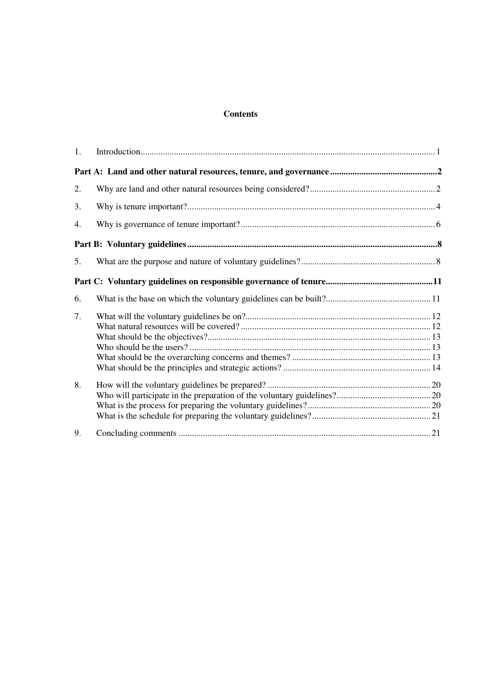## **Contents**

| 1. |  |
|----|--|
|    |  |
| 2. |  |
| 3. |  |
| 4. |  |
|    |  |
| 5. |  |
|    |  |
| 6. |  |
| 7. |  |
| 8. |  |
| 9. |  |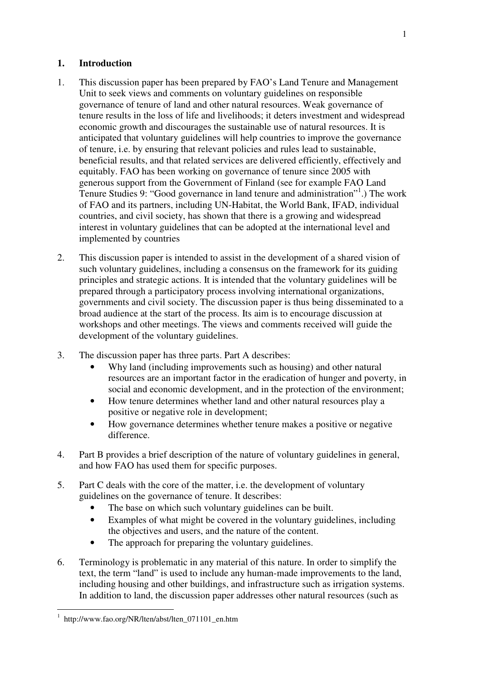## **1. Introduction**

- 1. This discussion paper has been prepared by FAO's Land Tenure and Management Unit to seek views and comments on voluntary guidelines on responsible governance of tenure of land and other natural resources. Weak governance of tenure results in the loss of life and livelihoods; it deters investment and widespread economic growth and discourages the sustainable use of natural resources. It is anticipated that voluntary guidelines will help countries to improve the governance of tenure, i.e. by ensuring that relevant policies and rules lead to sustainable, beneficial results, and that related services are delivered efficiently, effectively and equitably. FAO has been working on governance of tenure since 2005 with generous support from the Government of Finland (see for example FAO Land Tenure Studies 9: "Good governance in land tenure and administration"<sup>1</sup> .) The work of FAO and its partners, including UN-Habitat, the World Bank, IFAD, individual countries, and civil society, has shown that there is a growing and widespread interest in voluntary guidelines that can be adopted at the international level and implemented by countries
- 2. This discussion paper is intended to assist in the development of a shared vision of such voluntary guidelines, including a consensus on the framework for its guiding principles and strategic actions. It is intended that the voluntary guidelines will be prepared through a participatory process involving international organizations, governments and civil society. The discussion paper is thus being disseminated to a broad audience at the start of the process. Its aim is to encourage discussion at workshops and other meetings. The views and comments received will guide the development of the voluntary guidelines.
- 3. The discussion paper has three parts. Part A describes:
	- Why land (including improvements such as housing) and other natural resources are an important factor in the eradication of hunger and poverty, in social and economic development, and in the protection of the environment;
	- How tenure determines whether land and other natural resources play a positive or negative role in development;
	- How governance determines whether tenure makes a positive or negative difference.
- 4. Part B provides a brief description of the nature of voluntary guidelines in general, and how FAO has used them for specific purposes.
- 5. Part C deals with the core of the matter, i.e. the development of voluntary guidelines on the governance of tenure. It describes:
	- The base on which such voluntary guidelines can be built.
	- Examples of what might be covered in the voluntary guidelines, including the objectives and users, and the nature of the content.
	- The approach for preparing the voluntary guidelines.
- 6. Terminology is problematic in any material of this nature. In order to simplify the text, the term "land" is used to include any human-made improvements to the land, including housing and other buildings, and infrastructure such as irrigation systems. In addition to land, the discussion paper addresses other natural resources (such as

 $\overline{a}$ 1 http://www.fao.org/NR/lten/abst/lten\_071101\_en.htm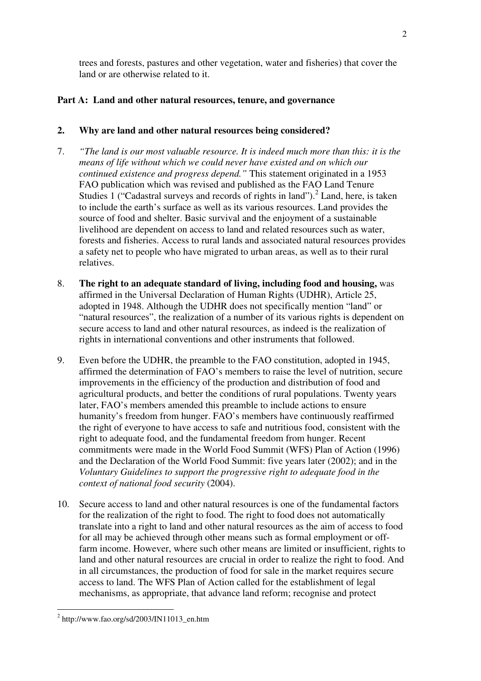trees and forests, pastures and other vegetation, water and fisheries) that cover the land or are otherwise related to it.

## **Part A: Land and other natural resources, tenure, and governance**

## **2. Why are land and other natural resources being considered?**

- 7. *"The land is our most valuable resource. It is indeed much more than this: it is the means of life without which we could never have existed and on which our continued existence and progress depend."* This statement originated in a 1953 FAO publication which was revised and published as the FAO Land Tenure Studies 1 ("Cadastral surveys and records of rights in land").<sup>2</sup> Land, here, is taken to include the earth's surface as well as its various resources. Land provides the source of food and shelter. Basic survival and the enjoyment of a sustainable livelihood are dependent on access to land and related resources such as water, forests and fisheries. Access to rural lands and associated natural resources provides a safety net to people who have migrated to urban areas, as well as to their rural relatives.
- 8. **The right to an adequate standard of living, including food and housing,** was affirmed in the Universal Declaration of Human Rights (UDHR), Article 25, adopted in 1948. Although the UDHR does not specifically mention "land" or "natural resources", the realization of a number of its various rights is dependent on secure access to land and other natural resources, as indeed is the realization of rights in international conventions and other instruments that followed.
- 9. Even before the UDHR, the preamble to the FAO constitution, adopted in 1945, affirmed the determination of FAO's members to raise the level of nutrition, secure improvements in the efficiency of the production and distribution of food and agricultural products, and better the conditions of rural populations. Twenty years later, FAO's members amended this preamble to include actions to ensure humanity's freedom from hunger. FAO's members have continuously reaffirmed the right of everyone to have access to safe and nutritious food, consistent with the right to adequate food, and the fundamental freedom from hunger. Recent commitments were made in the World Food Summit (WFS) Plan of Action (1996) and the Declaration of the World Food Summit: five years later (2002); and in the *Voluntary Guidelines to support the progressive right to adequate food in the context of national food security* (2004).
- 10. Secure access to land and other natural resources is one of the fundamental factors for the realization of the right to food. The right to food does not automatically translate into a right to land and other natural resources as the aim of access to food for all may be achieved through other means such as formal employment or offfarm income. However, where such other means are limited or insufficient, rights to land and other natural resources are crucial in order to realize the right to food. And in all circumstances, the production of food for sale in the market requires secure access to land. The WFS Plan of Action called for the establishment of legal mechanisms, as appropriate, that advance land reform; recognise and protect

 2 http://www.fao.org/sd/2003/IN11013\_en.htm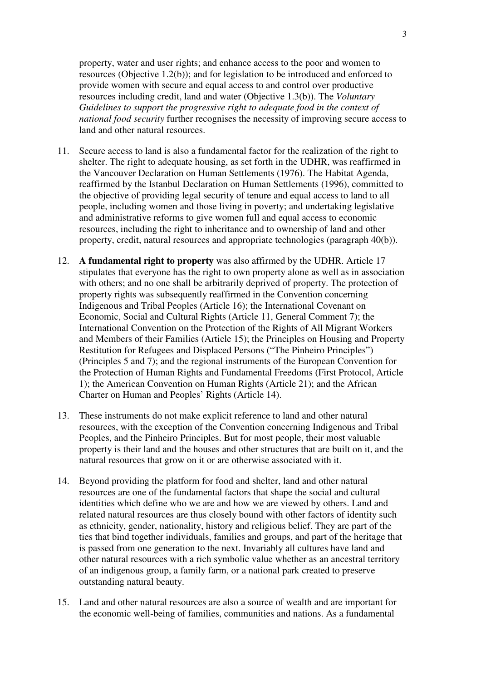property, water and user rights; and enhance access to the poor and women to resources (Objective 1.2(b)); and for legislation to be introduced and enforced to provide women with secure and equal access to and control over productive resources including credit, land and water (Objective 1.3(b)). The *Voluntary Guidelines to support the progressive right to adequate food in the context of national food security* further recognises the necessity of improving secure access to land and other natural resources.

- 11. Secure access to land is also a fundamental factor for the realization of the right to shelter. The right to adequate housing, as set forth in the UDHR, was reaffirmed in the Vancouver Declaration on Human Settlements (1976). The Habitat Agenda, reaffirmed by the Istanbul Declaration on Human Settlements (1996), committed to the objective of providing legal security of tenure and equal access to land to all people, including women and those living in poverty; and undertaking legislative and administrative reforms to give women full and equal access to economic resources, including the right to inheritance and to ownership of land and other property, credit, natural resources and appropriate technologies (paragraph 40(b)).
- 12. **A fundamental right to property** was also affirmed by the UDHR. Article 17 stipulates that everyone has the right to own property alone as well as in association with others; and no one shall be arbitrarily deprived of property. The protection of property rights was subsequently reaffirmed in the Convention concerning Indigenous and Tribal Peoples (Article 16); the International Covenant on Economic, Social and Cultural Rights (Article 11, General Comment 7); the International Convention on the Protection of the Rights of All Migrant Workers and Members of their Families (Article 15); the Principles on Housing and Property Restitution for Refugees and Displaced Persons ("The Pinheiro Principles") (Principles 5 and 7); and the regional instruments of the European Convention for the Protection of Human Rights and Fundamental Freedoms (First Protocol, Article 1); the American Convention on Human Rights (Article 21); and the African Charter on Human and Peoples' Rights (Article 14).
- 13. These instruments do not make explicit reference to land and other natural resources, with the exception of the Convention concerning Indigenous and Tribal Peoples, and the Pinheiro Principles. But for most people, their most valuable property is their land and the houses and other structures that are built on it, and the natural resources that grow on it or are otherwise associated with it.
- 14. Beyond providing the platform for food and shelter, land and other natural resources are one of the fundamental factors that shape the social and cultural identities which define who we are and how we are viewed by others. Land and related natural resources are thus closely bound with other factors of identity such as ethnicity, gender, nationality, history and religious belief. They are part of the ties that bind together individuals, families and groups, and part of the heritage that is passed from one generation to the next. Invariably all cultures have land and other natural resources with a rich symbolic value whether as an ancestral territory of an indigenous group, a family farm, or a national park created to preserve outstanding natural beauty.
- 15. Land and other natural resources are also a source of wealth and are important for the economic well-being of families, communities and nations. As a fundamental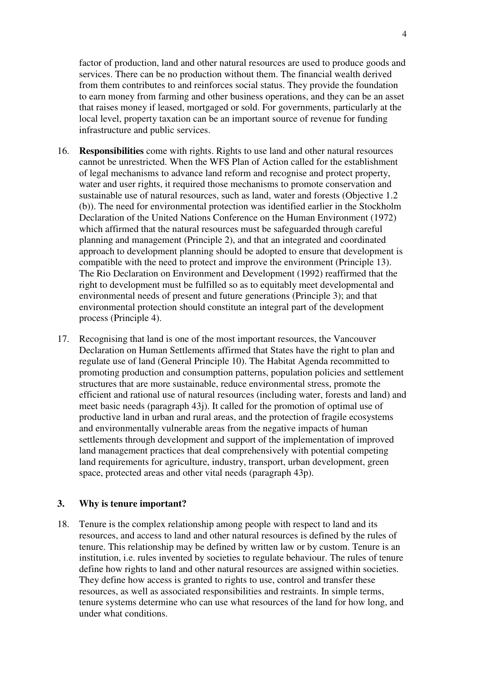factor of production, land and other natural resources are used to produce goods and services. There can be no production without them. The financial wealth derived from them contributes to and reinforces social status. They provide the foundation to earn money from farming and other business operations, and they can be an asset that raises money if leased, mortgaged or sold. For governments, particularly at the local level, property taxation can be an important source of revenue for funding infrastructure and public services.

- 16. **Responsibilities** come with rights. Rights to use land and other natural resources cannot be unrestricted. When the WFS Plan of Action called for the establishment of legal mechanisms to advance land reform and recognise and protect property, water and user rights, it required those mechanisms to promote conservation and sustainable use of natural resources, such as land, water and forests (Objective 1.2 (b)). The need for environmental protection was identified earlier in the Stockholm Declaration of the United Nations Conference on the Human Environment (1972) which affirmed that the natural resources must be safeguarded through careful planning and management (Principle 2), and that an integrated and coordinated approach to development planning should be adopted to ensure that development is compatible with the need to protect and improve the environment (Principle 13). The Rio Declaration on Environment and Development (1992) reaffirmed that the right to development must be fulfilled so as to equitably meet developmental and environmental needs of present and future generations (Principle 3); and that environmental protection should constitute an integral part of the development process (Principle 4).
- 17. Recognising that land is one of the most important resources, the Vancouver Declaration on Human Settlements affirmed that States have the right to plan and regulate use of land (General Principle 10). The Habitat Agenda recommitted to promoting production and consumption patterns, population policies and settlement structures that are more sustainable, reduce environmental stress, promote the efficient and rational use of natural resources (including water, forests and land) and meet basic needs (paragraph 43j). It called for the promotion of optimal use of productive land in urban and rural areas, and the protection of fragile ecosystems and environmentally vulnerable areas from the negative impacts of human settlements through development and support of the implementation of improved land management practices that deal comprehensively with potential competing land requirements for agriculture, industry, transport, urban development, green space, protected areas and other vital needs (paragraph 43p).

### **3. Why is tenure important?**

18. Tenure is the complex relationship among people with respect to land and its resources, and access to land and other natural resources is defined by the rules of tenure. This relationship may be defined by written law or by custom. Tenure is an institution, i.e. rules invented by societies to regulate behaviour. The rules of tenure define how rights to land and other natural resources are assigned within societies. They define how access is granted to rights to use, control and transfer these resources, as well as associated responsibilities and restraints. In simple terms, tenure systems determine who can use what resources of the land for how long, and under what conditions.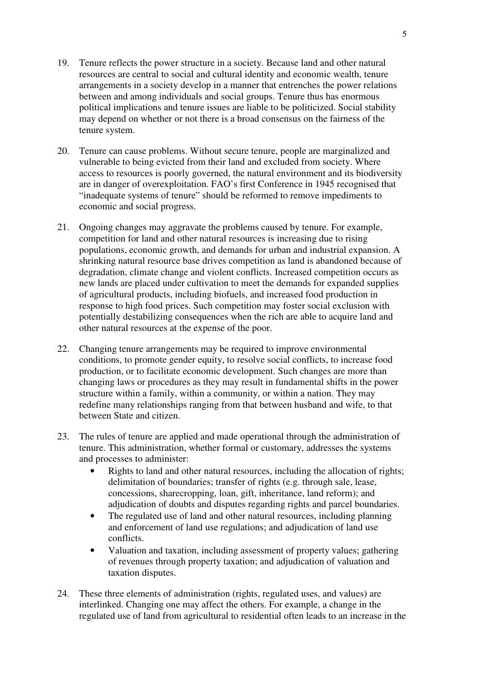- 19. Tenure reflects the power structure in a society. Because land and other natural resources are central to social and cultural identity and economic wealth, tenure arrangements in a society develop in a manner that entrenches the power relations between and among individuals and social groups. Tenure thus has enormous political implications and tenure issues are liable to be politicized. Social stability may depend on whether or not there is a broad consensus on the fairness of the tenure system.
- 20. Tenure can cause problems. Without secure tenure, people are marginalized and vulnerable to being evicted from their land and excluded from society. Where access to resources is poorly governed, the natural environment and its biodiversity are in danger of overexploitation. FAO's first Conference in 1945 recognised that "inadequate systems of tenure" should be reformed to remove impediments to economic and social progress.
- 21. Ongoing changes may aggravate the problems caused by tenure. For example, competition for land and other natural resources is increasing due to rising populations, economic growth, and demands for urban and industrial expansion. A shrinking natural resource base drives competition as land is abandoned because of degradation, climate change and violent conflicts. Increased competition occurs as new lands are placed under cultivation to meet the demands for expanded supplies of agricultural products, including biofuels, and increased food production in response to high food prices. Such competition may foster social exclusion with potentially destabilizing consequences when the rich are able to acquire land and other natural resources at the expense of the poor.
- 22. Changing tenure arrangements may be required to improve environmental conditions, to promote gender equity, to resolve social conflicts, to increase food production, or to facilitate economic development. Such changes are more than changing laws or procedures as they may result in fundamental shifts in the power structure within a family, within a community, or within a nation. They may redefine many relationships ranging from that between husband and wife, to that between State and citizen.
- 23. The rules of tenure are applied and made operational through the administration of tenure. This administration, whether formal or customary, addresses the systems and processes to administer:
	- Rights to land and other natural resources, including the allocation of rights; delimitation of boundaries; transfer of rights (e.g. through sale, lease, concessions, sharecropping, loan, gift, inheritance, land reform); and adjudication of doubts and disputes regarding rights and parcel boundaries.
	- The regulated use of land and other natural resources, including planning and enforcement of land use regulations; and adjudication of land use conflicts.
	- Valuation and taxation, including assessment of property values; gathering of revenues through property taxation; and adjudication of valuation and taxation disputes.
- 24. These three elements of administration (rights, regulated uses, and values) are interlinked. Changing one may affect the others. For example, a change in the regulated use of land from agricultural to residential often leads to an increase in the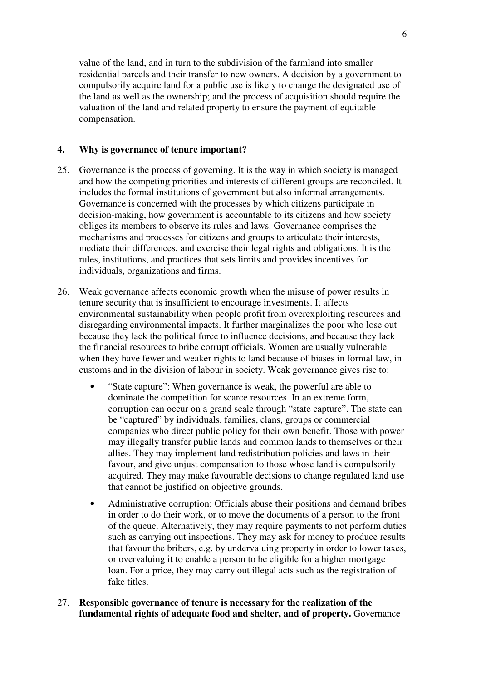value of the land, and in turn to the subdivision of the farmland into smaller residential parcels and their transfer to new owners. A decision by a government to compulsorily acquire land for a public use is likely to change the designated use of the land as well as the ownership; and the process of acquisition should require the valuation of the land and related property to ensure the payment of equitable compensation.

### **4. Why is governance of tenure important?**

- 25. Governance is the process of governing. It is the way in which society is managed and how the competing priorities and interests of different groups are reconciled. It includes the formal institutions of government but also informal arrangements. Governance is concerned with the processes by which citizens participate in decision-making, how government is accountable to its citizens and how society obliges its members to observe its rules and laws. Governance comprises the mechanisms and processes for citizens and groups to articulate their interests, mediate their differences, and exercise their legal rights and obligations. It is the rules, institutions, and practices that sets limits and provides incentives for individuals, organizations and firms.
- 26. Weak governance affects economic growth when the misuse of power results in tenure security that is insufficient to encourage investments. It affects environmental sustainability when people profit from overexploiting resources and disregarding environmental impacts. It further marginalizes the poor who lose out because they lack the political force to influence decisions, and because they lack the financial resources to bribe corrupt officials. Women are usually vulnerable when they have fewer and weaker rights to land because of biases in formal law, in customs and in the division of labour in society. Weak governance gives rise to:
	- "State capture": When governance is weak, the powerful are able to dominate the competition for scarce resources. In an extreme form, corruption can occur on a grand scale through "state capture". The state can be "captured" by individuals, families, clans, groups or commercial companies who direct public policy for their own benefit. Those with power may illegally transfer public lands and common lands to themselves or their allies. They may implement land redistribution policies and laws in their favour, and give unjust compensation to those whose land is compulsorily acquired. They may make favourable decisions to change regulated land use that cannot be justified on objective grounds.
	- Administrative corruption: Officials abuse their positions and demand bribes in order to do their work, or to move the documents of a person to the front of the queue. Alternatively, they may require payments to not perform duties such as carrying out inspections. They may ask for money to produce results that favour the bribers, e.g. by undervaluing property in order to lower taxes, or overvaluing it to enable a person to be eligible for a higher mortgage loan. For a price, they may carry out illegal acts such as the registration of fake titles.
- 27. **Responsible governance of tenure is necessary for the realization of the fundamental rights of adequate food and shelter, and of property.** Governance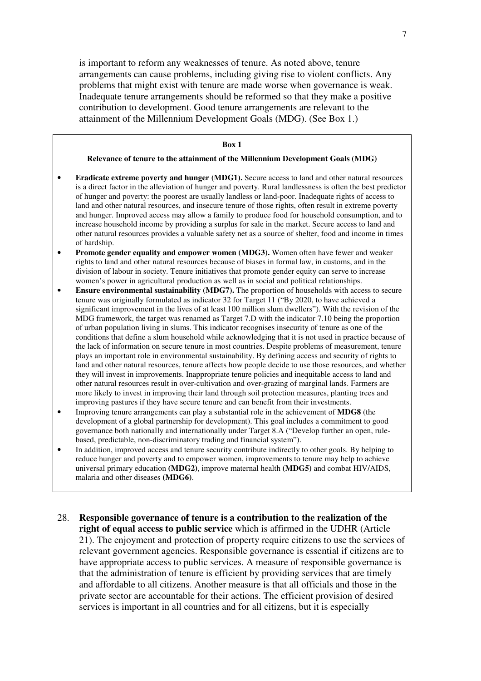is important to reform any weaknesses of tenure. As noted above, tenure arrangements can cause problems, including giving rise to violent conflicts. Any problems that might exist with tenure are made worse when governance is weak. Inadequate tenure arrangements should be reformed so that they make a positive contribution to development. Good tenure arrangements are relevant to the attainment of the Millennium Development Goals (MDG). (See Box 1.)

| Box 1                                                                                                                                                                                                                                                                                                                                                                                                                                                                                                                                                                                                                                                                                                                                                                                                                                                                                                                                                                                                                                                       |
|-------------------------------------------------------------------------------------------------------------------------------------------------------------------------------------------------------------------------------------------------------------------------------------------------------------------------------------------------------------------------------------------------------------------------------------------------------------------------------------------------------------------------------------------------------------------------------------------------------------------------------------------------------------------------------------------------------------------------------------------------------------------------------------------------------------------------------------------------------------------------------------------------------------------------------------------------------------------------------------------------------------------------------------------------------------|
| Relevance of tenure to the attainment of the Millennium Development Goals (MDG)                                                                                                                                                                                                                                                                                                                                                                                                                                                                                                                                                                                                                                                                                                                                                                                                                                                                                                                                                                             |
| Eradicate extreme poverty and hunger (MDG1). Secure access to land and other natural resources<br>is a direct factor in the alleviation of hunger and poverty. Rural landlessness is often the best predictor<br>of hunger and poverty: the poorest are usually landless or land-poor. Inadequate rights of access to<br>land and other natural resources, and insecure tenure of those rights, often result in extreme poverty<br>and hunger. Improved access may allow a family to produce food for household consumption, and to<br>increase household income by providing a surplus for sale in the market. Secure access to land and<br>other natural resources provides a valuable safety net as a source of shelter, food and income in times<br>of hardship.                                                                                                                                                                                                                                                                                        |
| Promote gender equality and empower women (MDG3). Women often have fewer and weaker<br>rights to land and other natural resources because of biases in formal law, in customs, and in the<br>division of labour in society. Tenure initiatives that promote gender equity can serve to increase                                                                                                                                                                                                                                                                                                                                                                                                                                                                                                                                                                                                                                                                                                                                                             |
| women's power in agricultural production as well as in social and political relationships.                                                                                                                                                                                                                                                                                                                                                                                                                                                                                                                                                                                                                                                                                                                                                                                                                                                                                                                                                                  |
| Ensure environmental sustainability (MDG7). The proportion of households with access to secure<br>tenure was originally formulated as indicator 32 for Target 11 ("By 2020, to have achieved a<br>significant improvement in the lives of at least 100 million slum dwellers"). With the revision of the<br>MDG framework, the target was renamed as Target 7.D with the indicator 7.10 being the proportion<br>of urban population living in slums. This indicator recognises insecurity of tenure as one of the<br>conditions that define a slum household while acknowledging that it is not used in practice because of<br>the lack of information on secure tenure in most countries. Despite problems of measurement, tenure<br>plays an important role in environmental sustainability. By defining access and security of rights to<br>land and other natural resources, tenure affects how people decide to use those resources, and whether<br>they will invest in improvements. Inappropriate tenure policies and inequitable access to land and |
| other natural resources result in over-cultivation and over-grazing of marginal lands. Farmers are<br>more likely to invest in improving their land through soil protection measures, planting trees and                                                                                                                                                                                                                                                                                                                                                                                                                                                                                                                                                                                                                                                                                                                                                                                                                                                    |
| improving pastures if they have secure tenure and can benefit from their investments.<br>Improving tenure arrangements can play a substantial role in the achievement of MDG8 (the<br>development of a global partnership for development). This goal includes a commitment to good                                                                                                                                                                                                                                                                                                                                                                                                                                                                                                                                                                                                                                                                                                                                                                         |

- development of a global partnership for development). This goal includes a commitment to good governance both nationally and internationally under Target 8.A ("Develop further an open, rulebased, predictable, non-discriminatory trading and financial system").
- In addition, improved access and tenure security contribute indirectly to other goals. By helping to reduce hunger and poverty and to empower women, improvements to tenure may help to achieve universal primary education **(MDG2)**, improve maternal health **(MDG5)** and combat HIV/AIDS, malaria and other diseases **(MDG6)**.
- 28. **Responsible governance of tenure is a contribution to the realization of the right of equal access to public service** which is affirmed in the UDHR (Article 21). The enjoyment and protection of property require citizens to use the services of relevant government agencies. Responsible governance is essential if citizens are to have appropriate access to public services. A measure of responsible governance is that the administration of tenure is efficient by providing services that are timely and affordable to all citizens. Another measure is that all officials and those in the private sector are accountable for their actions. The efficient provision of desired services is important in all countries and for all citizens, but it is especially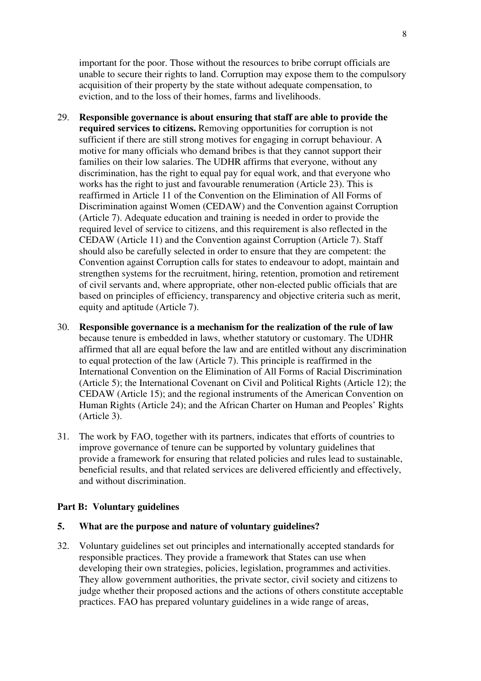important for the poor. Those without the resources to bribe corrupt officials are unable to secure their rights to land. Corruption may expose them to the compulsory acquisition of their property by the state without adequate compensation, to eviction, and to the loss of their homes, farms and livelihoods.

- 29. **Responsible governance is about ensuring that staff are able to provide the required services to citizens.** Removing opportunities for corruption is not sufficient if there are still strong motives for engaging in corrupt behaviour. A motive for many officials who demand bribes is that they cannot support their families on their low salaries. The UDHR affirms that everyone, without any discrimination, has the right to equal pay for equal work, and that everyone who works has the right to just and favourable renumeration (Article 23). This is reaffirmed in Article 11 of the Convention on the Elimination of All Forms of Discrimination against Women (CEDAW) and the Convention against Corruption (Article 7). Adequate education and training is needed in order to provide the required level of service to citizens, and this requirement is also reflected in the CEDAW (Article 11) and the Convention against Corruption (Article 7). Staff should also be carefully selected in order to ensure that they are competent: the Convention against Corruption calls for states to endeavour to adopt, maintain and strengthen systems for the recruitment, hiring, retention, promotion and retirement of civil servants and, where appropriate, other non-elected public officials that are based on principles of efficiency, transparency and objective criteria such as merit, equity and aptitude (Article 7).
- 30. **Responsible governance is a mechanism for the realization of the rule of law** because tenure is embedded in laws, whether statutory or customary. The UDHR affirmed that all are equal before the law and are entitled without any discrimination to equal protection of the law (Article 7). This principle is reaffirmed in the International Convention on the Elimination of All Forms of Racial Discrimination (Article 5); the International Covenant on Civil and Political Rights (Article 12); the CEDAW (Article 15); and the regional instruments of the American Convention on Human Rights (Article 24); and the African Charter on Human and Peoples' Rights (Article 3).
- 31. The work by FAO, together with its partners, indicates that efforts of countries to improve governance of tenure can be supported by voluntary guidelines that provide a framework for ensuring that related policies and rules lead to sustainable, beneficial results, and that related services are delivered efficiently and effectively, and without discrimination.

### **Part B: Voluntary guidelines**

### **5. What are the purpose and nature of voluntary guidelines?**

32. Voluntary guidelines set out principles and internationally accepted standards for responsible practices. They provide a framework that States can use when developing their own strategies, policies, legislation, programmes and activities. They allow government authorities, the private sector, civil society and citizens to judge whether their proposed actions and the actions of others constitute acceptable practices. FAO has prepared voluntary guidelines in a wide range of areas,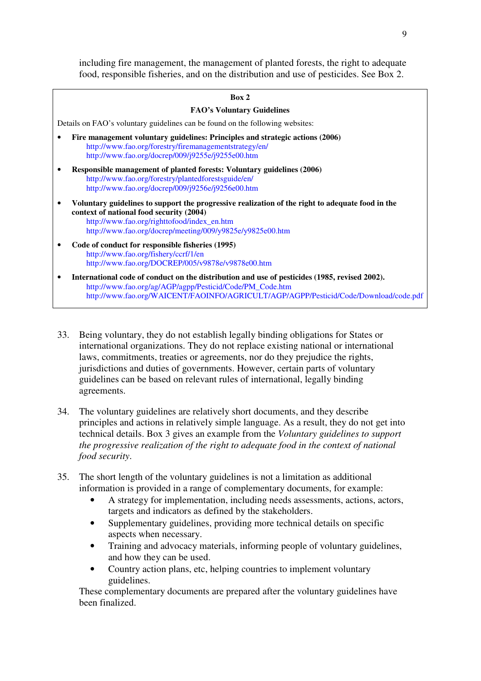including fire management, the management of planted forests, the right to adequate food, responsible fisheries, and on the distribution and use of pesticides. See Box 2.

| ×<br>۹ |  |
|--------|--|
|--------|--|

## **FAO's Voluntary Guidelines**  Details on FAO's voluntary guidelines can be found on the following websites: • **Fire management voluntary guidelines: Principles and strategic actions (2006)**  http://www.fao.org/forestry/firemanagementstrategy/en/ http://www.fao.org/docrep/009/j9255e/j9255e00.htm • **Responsible management of planted forests: Voluntary guidelines (2006)**  http://www.fao.org/forestry/plantedforestsguide/en/ http://www.fao.org/docrep/009/j9256e/j9256e00.htm • **Voluntary guidelines to support the progressive realization of the right to adequate food in the context of national food security (2004)**  http://www.fao.org/righttofood/index\_en.htm http://www.fao.org/docrep/meeting/009/y9825e/y9825e00.htm • **Code of conduct for responsible fisheries (1995)**  http://www.fao.org/fishery/ccrf/1/en http://www.fao.org/DOCREP/005/v9878e/v9878e00.htm • **International code of conduct on the distribution and use of pesticides (1985, revised 2002).**  http://www.fao.org/ag/AGP/agpp/Pesticid/Code/PM\_Code.htm

http://www.fao.org/WAICENT/FAOINFO/AGRICULT/AGP/AGPP/Pesticid/Code/Download/code.pdf

- 33. Being voluntary, they do not establish legally binding obligations for States or international organizations. They do not replace existing national or international laws, commitments, treaties or agreements, nor do they prejudice the rights, jurisdictions and duties of governments. However, certain parts of voluntary guidelines can be based on relevant rules of international, legally binding agreements.
- 34. The voluntary guidelines are relatively short documents, and they describe principles and actions in relatively simple language. As a result, they do not get into technical details. Box 3 gives an example from the *Voluntary guidelines to support the progressive realization of the right to adequate food in the context of national food security*.
- 35. The short length of the voluntary guidelines is not a limitation as additional information is provided in a range of complementary documents, for example:
	- A strategy for implementation, including needs assessments, actions, actors, targets and indicators as defined by the stakeholders.
	- Supplementary guidelines, providing more technical details on specific aspects when necessary.
	- Training and advocacy materials, informing people of voluntary guidelines, and how they can be used.
	- Country action plans, etc, helping countries to implement voluntary guidelines.

These complementary documents are prepared after the voluntary guidelines have been finalized.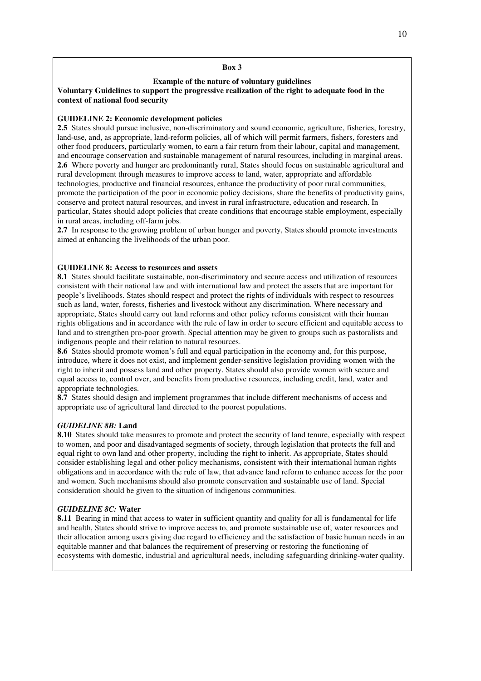#### **Box 3**

#### **Example of the nature of voluntary guidelines**

#### **Voluntary Guidelines to support the progressive realization of the right to adequate food in the context of national food security**

#### **GUIDELINE 2: Economic development policies**

**2.5** States should pursue inclusive, non-discriminatory and sound economic, agriculture, fisheries, forestry, land-use, and, as appropriate, land-reform policies, all of which will permit farmers, fishers, foresters and other food producers, particularly women, to earn a fair return from their labour, capital and management, and encourage conservation and sustainable management of natural resources, including in marginal areas. **2.6** Where poverty and hunger are predominantly rural, States should focus on sustainable agricultural and rural development through measures to improve access to land, water, appropriate and affordable technologies, productive and financial resources, enhance the productivity of poor rural communities, promote the participation of the poor in economic policy decisions, share the benefits of productivity gains, conserve and protect natural resources, and invest in rural infrastructure, education and research. In particular, States should adopt policies that create conditions that encourage stable employment, especially in rural areas, including off-farm jobs.

**2.7** In response to the growing problem of urban hunger and poverty, States should promote investments aimed at enhancing the livelihoods of the urban poor.

#### **GUIDELINE 8: Access to resources and assets**

**8.1** States should facilitate sustainable, non-discriminatory and secure access and utilization of resources consistent with their national law and with international law and protect the assets that are important for people's livelihoods. States should respect and protect the rights of individuals with respect to resources such as land, water, forests, fisheries and livestock without any discrimination. Where necessary and appropriate, States should carry out land reforms and other policy reforms consistent with their human rights obligations and in accordance with the rule of law in order to secure efficient and equitable access to land and to strengthen pro-poor growth. Special attention may be given to groups such as pastoralists and indigenous people and their relation to natural resources.

**8.6** States should promote women's full and equal participation in the economy and, for this purpose, introduce, where it does not exist, and implement gender-sensitive legislation providing women with the right to inherit and possess land and other property. States should also provide women with secure and equal access to, control over, and benefits from productive resources, including credit, land, water and appropriate technologies.

**8.7** States should design and implement programmes that include different mechanisms of access and appropriate use of agricultural land directed to the poorest populations.

#### *GUIDELINE 8B:* **Land**

**8.10** States should take measures to promote and protect the security of land tenure, especially with respect to women, and poor and disadvantaged segments of society, through legislation that protects the full and equal right to own land and other property, including the right to inherit. As appropriate, States should consider establishing legal and other policy mechanisms, consistent with their international human rights obligations and in accordance with the rule of law, that advance land reform to enhance access for the poor and women. Such mechanisms should also promote conservation and sustainable use of land. Special consideration should be given to the situation of indigenous communities.

#### *GUIDELINE 8C:* **Water**

**8.11** Bearing in mind that access to water in sufficient quantity and quality for all is fundamental for life and health, States should strive to improve access to, and promote sustainable use of, water resources and their allocation among users giving due regard to efficiency and the satisfaction of basic human needs in an equitable manner and that balances the requirement of preserving or restoring the functioning of ecosystems with domestic, industrial and agricultural needs, including safeguarding drinking-water quality.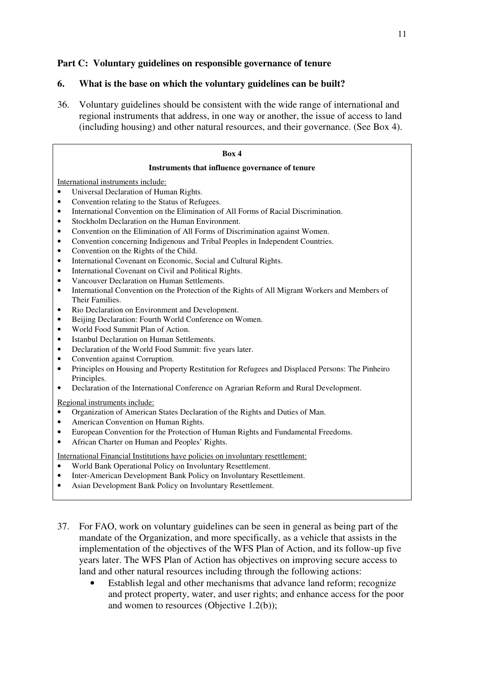## **Part C: Voluntary guidelines on responsible governance of tenure**

### **6. What is the base on which the voluntary guidelines can be built?**

36. Voluntary guidelines should be consistent with the wide range of international and regional instruments that address, in one way or another, the issue of access to land (including housing) and other natural resources, and their governance. (See Box 4).

| Box 4                                                                                                                                                                                                                                                                                                                                                                                                                                                                                                                                                                                                                                                                                                                                                                                                                                                                                                                                            |  |  |
|--------------------------------------------------------------------------------------------------------------------------------------------------------------------------------------------------------------------------------------------------------------------------------------------------------------------------------------------------------------------------------------------------------------------------------------------------------------------------------------------------------------------------------------------------------------------------------------------------------------------------------------------------------------------------------------------------------------------------------------------------------------------------------------------------------------------------------------------------------------------------------------------------------------------------------------------------|--|--|
| Instruments that influence governance of tenure                                                                                                                                                                                                                                                                                                                                                                                                                                                                                                                                                                                                                                                                                                                                                                                                                                                                                                  |  |  |
| International instruments include:<br>Universal Declaration of Human Rights.<br>$\bullet$<br>Convention relating to the Status of Refugees.<br>$\bullet$<br>International Convention on the Elimination of All Forms of Racial Discrimination.<br>٠<br>Stockholm Declaration on the Human Environment.<br>$\bullet$<br>Convention on the Elimination of All Forms of Discrimination against Women.<br>$\bullet$<br>Convention concerning Indigenous and Tribal Peoples in Independent Countries.<br>$\bullet$<br>Convention on the Rights of the Child.<br>$\bullet$                                                                                                                                                                                                                                                                                                                                                                             |  |  |
| International Covenant on Economic, Social and Cultural Rights.<br>$\bullet$<br>International Covenant on Civil and Political Rights.<br>٠<br>Vancouver Declaration on Human Settlements.<br>$\bullet$<br>International Convention on the Protection of the Rights of All Migrant Workers and Members of<br>$\bullet$<br>Their Families.<br>Rio Declaration on Environment and Development.<br>$\bullet$<br>Beijing Declaration: Fourth World Conference on Women.<br>$\bullet$<br>World Food Summit Plan of Action.<br>$\bullet$<br>Istanbul Declaration on Human Settlements.<br>$\bullet$<br>Declaration of the World Food Summit: five years later.<br>$\bullet$<br>Convention against Corruption.<br>$\bullet$<br>Principles on Housing and Property Restitution for Refugees and Displaced Persons: The Pinheiro<br>$\bullet$<br>Principles.<br>Declaration of the International Conference on Agrarian Reform and Rural Development.<br>٠ |  |  |
| Regional instruments include:<br>Organization of American States Declaration of the Rights and Duties of Man.<br>American Convention on Human Rights.<br>$\bullet$<br>European Convention for the Protection of Human Rights and Fundamental Freedoms.<br>$\bullet$<br>African Charter on Human and Peoples' Rights.<br>$\bullet$<br>International Financial Institutions have policies on involuntary resettlement:                                                                                                                                                                                                                                                                                                                                                                                                                                                                                                                             |  |  |
| World Bank Operational Policy on Involuntary Resettlement.<br>$\bullet$<br>Inter-American Development Bank Policy on Involuntary Resettlement.<br>$\bullet$<br>Asian Development Bank Policy on Involuntary Resettlement.<br>$\bullet$                                                                                                                                                                                                                                                                                                                                                                                                                                                                                                                                                                                                                                                                                                           |  |  |

- 37. For FAO, work on voluntary guidelines can be seen in general as being part of the mandate of the Organization, and more specifically, as a vehicle that assists in the implementation of the objectives of the WFS Plan of Action, and its follow-up five years later. The WFS Plan of Action has objectives on improving secure access to land and other natural resources including through the following actions:
	- Establish legal and other mechanisms that advance land reform; recognize and protect property, water, and user rights; and enhance access for the poor and women to resources (Objective 1.2(b));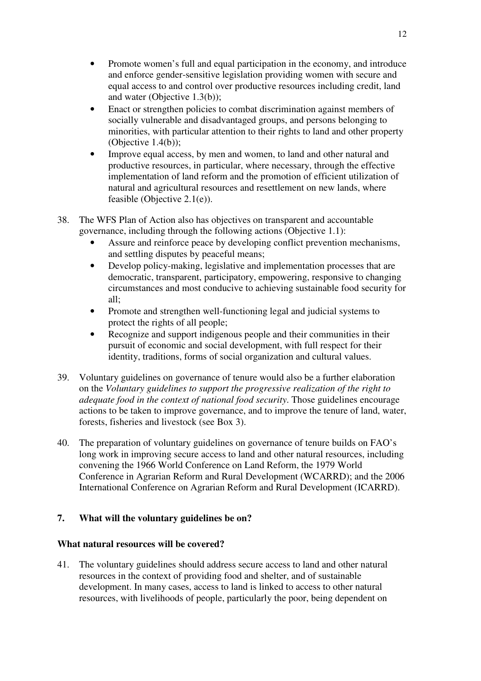- Promote women's full and equal participation in the economy, and introduce and enforce gender-sensitive legislation providing women with secure and equal access to and control over productive resources including credit, land and water (Objective 1.3(b));
- Enact or strengthen policies to combat discrimination against members of socially vulnerable and disadvantaged groups, and persons belonging to minorities, with particular attention to their rights to land and other property (Objective 1.4(b));
- Improve equal access, by men and women, to land and other natural and productive resources, in particular, where necessary, through the effective implementation of land reform and the promotion of efficient utilization of natural and agricultural resources and resettlement on new lands, where feasible (Objective 2.1(e)).
- 38. The WFS Plan of Action also has objectives on transparent and accountable governance, including through the following actions (Objective 1.1):
	- Assure and reinforce peace by developing conflict prevention mechanisms, and settling disputes by peaceful means;
	- Develop policy-making, legislative and implementation processes that are democratic, transparent, participatory, empowering, responsive to changing circumstances and most conducive to achieving sustainable food security for all;
	- Promote and strengthen well-functioning legal and judicial systems to protect the rights of all people;
	- Recognize and support indigenous people and their communities in their pursuit of economic and social development, with full respect for their identity, traditions, forms of social organization and cultural values.
- 39. Voluntary guidelines on governance of tenure would also be a further elaboration on the *Voluntary guidelines to support the progressive realization of the right to adequate food in the context of national food security*. Those guidelines encourage actions to be taken to improve governance, and to improve the tenure of land, water, forests, fisheries and livestock (see Box 3).
- 40. The preparation of voluntary guidelines on governance of tenure builds on FAO's long work in improving secure access to land and other natural resources, including convening the 1966 World Conference on Land Reform, the 1979 World Conference in Agrarian Reform and Rural Development (WCARRD); and the 2006 International Conference on Agrarian Reform and Rural Development (ICARRD).

## **7. What will the voluntary guidelines be on?**

## **What natural resources will be covered?**

41. The voluntary guidelines should address secure access to land and other natural resources in the context of providing food and shelter, and of sustainable development. In many cases, access to land is linked to access to other natural resources, with livelihoods of people, particularly the poor, being dependent on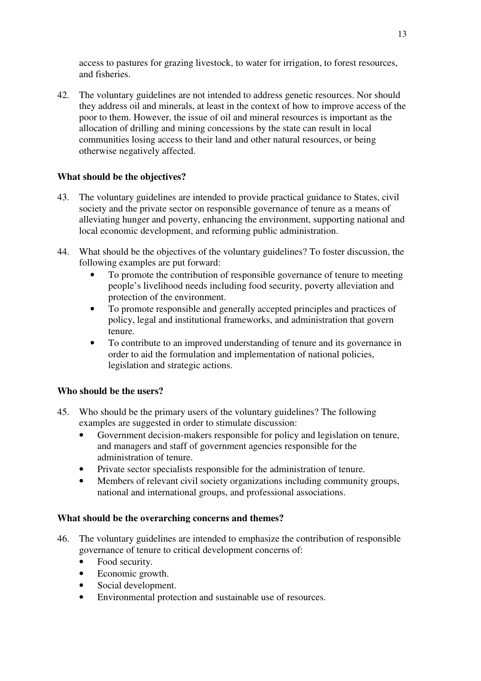access to pastures for grazing livestock, to water for irrigation, to forest resources, and fisheries.

42. The voluntary guidelines are not intended to address genetic resources. Nor should they address oil and minerals, at least in the context of how to improve access of the poor to them. However, the issue of oil and mineral resources is important as the allocation of drilling and mining concessions by the state can result in local communities losing access to their land and other natural resources, or being otherwise negatively affected.

## **What should be the objectives?**

- 43. The voluntary guidelines are intended to provide practical guidance to States, civil society and the private sector on responsible governance of tenure as a means of alleviating hunger and poverty, enhancing the environment, supporting national and local economic development, and reforming public administration.
- 44. What should be the objectives of the voluntary guidelines? To foster discussion, the following examples are put forward:
	- To promote the contribution of responsible governance of tenure to meeting people's livelihood needs including food security, poverty alleviation and protection of the environment.
	- To promote responsible and generally accepted principles and practices of policy, legal and institutional frameworks, and administration that govern tenure.
	- To contribute to an improved understanding of tenure and its governance in order to aid the formulation and implementation of national policies, legislation and strategic actions.

## **Who should be the users?**

- 45. Who should be the primary users of the voluntary guidelines? The following examples are suggested in order to stimulate discussion:
	- Government decision-makers responsible for policy and legislation on tenure, and managers and staff of government agencies responsible for the administration of tenure.
	- Private sector specialists responsible for the administration of tenure.
	- Members of relevant civil society organizations including community groups, national and international groups, and professional associations.

## **What should be the overarching concerns and themes?**

- 46. The voluntary guidelines are intended to emphasize the contribution of responsible governance of tenure to critical development concerns of:
	- Food security.
	- Economic growth.
	- Social development.
	- Environmental protection and sustainable use of resources.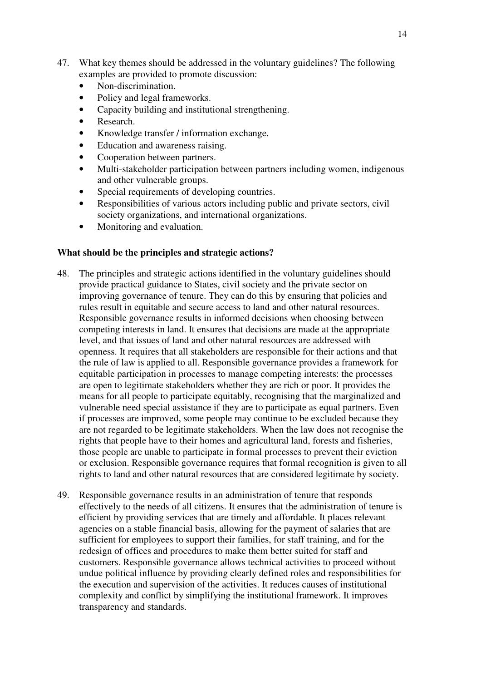- 47. What key themes should be addressed in the voluntary guidelines? The following examples are provided to promote discussion:
	- Non-discrimination.
	- Policy and legal frameworks.
	- Capacity building and institutional strengthening.
	- Research.
	- Knowledge transfer / information exchange.
	- Education and awareness raising.
	- Cooperation between partners.
	- Multi-stakeholder participation between partners including women, indigenous and other vulnerable groups.
	- Special requirements of developing countries.
	- Responsibilities of various actors including public and private sectors, civil society organizations, and international organizations.
	- Monitoring and evaluation.

### **What should be the principles and strategic actions?**

- 48. The principles and strategic actions identified in the voluntary guidelines should provide practical guidance to States, civil society and the private sector on improving governance of tenure. They can do this by ensuring that policies and rules result in equitable and secure access to land and other natural resources. Responsible governance results in informed decisions when choosing between competing interests in land. It ensures that decisions are made at the appropriate level, and that issues of land and other natural resources are addressed with openness. It requires that all stakeholders are responsible for their actions and that the rule of law is applied to all. Responsible governance provides a framework for equitable participation in processes to manage competing interests: the processes are open to legitimate stakeholders whether they are rich or poor. It provides the means for all people to participate equitably, recognising that the marginalized and vulnerable need special assistance if they are to participate as equal partners. Even if processes are improved, some people may continue to be excluded because they are not regarded to be legitimate stakeholders. When the law does not recognise the rights that people have to their homes and agricultural land, forests and fisheries, those people are unable to participate in formal processes to prevent their eviction or exclusion. Responsible governance requires that formal recognition is given to all rights to land and other natural resources that are considered legitimate by society.
- 49. Responsible governance results in an administration of tenure that responds effectively to the needs of all citizens. It ensures that the administration of tenure is efficient by providing services that are timely and affordable. It places relevant agencies on a stable financial basis, allowing for the payment of salaries that are sufficient for employees to support their families, for staff training, and for the redesign of offices and procedures to make them better suited for staff and customers. Responsible governance allows technical activities to proceed without undue political influence by providing clearly defined roles and responsibilities for the execution and supervision of the activities. It reduces causes of institutional complexity and conflict by simplifying the institutional framework. It improves transparency and standards.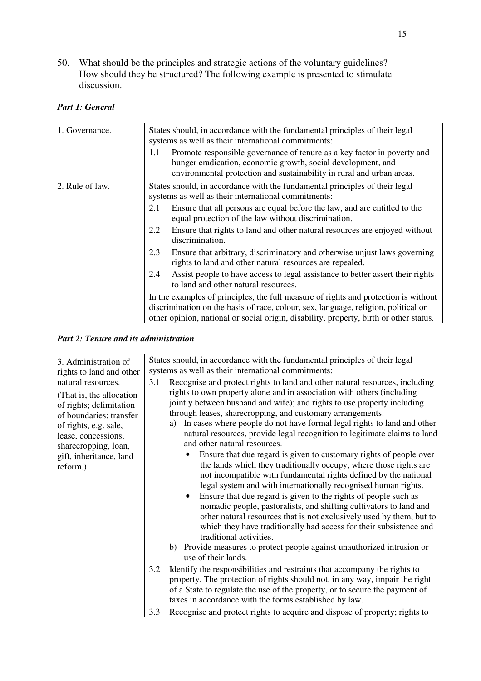50. What should be the principles and strategic actions of the voluntary guidelines? How should they be structured? The following example is presented to stimulate discussion.

## *Part 1: General*

| 1. Governance.  | States should, in accordance with the fundamental principles of their legal<br>systems as well as their international commitments:<br>Promote responsible governance of tenure as a key factor in poverty and<br>1.1<br>hunger eradication, economic growth, social development, and<br>environmental protection and sustainability in rural and urban areas. |
|-----------------|---------------------------------------------------------------------------------------------------------------------------------------------------------------------------------------------------------------------------------------------------------------------------------------------------------------------------------------------------------------|
| 2. Rule of law. | States should, in accordance with the fundamental principles of their legal<br>systems as well as their international commitments:                                                                                                                                                                                                                            |
|                 | Ensure that all persons are equal before the law, and are entitled to the<br>2.1<br>equal protection of the law without discrimination.                                                                                                                                                                                                                       |
|                 | Ensure that rights to land and other natural resources are enjoyed without<br>2.2<br>discrimination.                                                                                                                                                                                                                                                          |
|                 | 2.3<br>Ensure that arbitrary, discriminatory and otherwise unjust laws governing<br>rights to land and other natural resources are repealed.                                                                                                                                                                                                                  |
|                 | Assist people to have access to legal assistance to better assert their rights<br>2.4<br>to land and other natural resources.                                                                                                                                                                                                                                 |
|                 | In the examples of principles, the full measure of rights and protection is without<br>discrimination on the basis of race, colour, sex, language, religion, political or<br>other opinion, national or social origin, disability, property, birth or other status.                                                                                           |

## *Part 2: Tenure and its administration*

| 3. Administration of<br>rights to land and other                                                                                                                                                                     | States should, in accordance with the fundamental principles of their legal<br>systems as well as their international commitments:                                                                                                                                                                                                                                                                                                                                                                                                                                                                                                                                                                                                                                                                                                                                                                                                                                                                                                                                                                                                                                                                       |  |  |
|----------------------------------------------------------------------------------------------------------------------------------------------------------------------------------------------------------------------|----------------------------------------------------------------------------------------------------------------------------------------------------------------------------------------------------------------------------------------------------------------------------------------------------------------------------------------------------------------------------------------------------------------------------------------------------------------------------------------------------------------------------------------------------------------------------------------------------------------------------------------------------------------------------------------------------------------------------------------------------------------------------------------------------------------------------------------------------------------------------------------------------------------------------------------------------------------------------------------------------------------------------------------------------------------------------------------------------------------------------------------------------------------------------------------------------------|--|--|
| natural resources.<br>(That is, the allocation)<br>of rights; delimitation<br>of boundaries; transfer<br>of rights, e.g. sale,<br>lease, concessions,<br>sharecropping, loan,<br>gift, inheritance, land<br>reform.) | Recognise and protect rights to land and other natural resources, including<br>3.1<br>rights to own property alone and in association with others (including<br>jointly between husband and wife); and rights to use property including<br>through leases, sharecropping, and customary arrangements.<br>In cases where people do not have formal legal rights to land and other<br>a)<br>natural resources, provide legal recognition to legitimate claims to land<br>and other natural resources.<br>Ensure that due regard is given to customary rights of people over<br>the lands which they traditionally occupy, where those rights are<br>not incompatible with fundamental rights defined by the national<br>legal system and with internationally recognised human rights.<br>Ensure that due regard is given to the rights of people such as<br>nomadic people, pastoralists, and shifting cultivators to land and<br>other natural resources that is not exclusively used by them, but to<br>which they have traditionally had access for their subsistence and<br>traditional activities.<br>b) Provide measures to protect people against unauthorized intrusion or<br>use of their lands. |  |  |
|                                                                                                                                                                                                                      | 3.2<br>Identify the responsibilities and restraints that accompany the rights to<br>property. The protection of rights should not, in any way, impair the right<br>of a State to regulate the use of the property, or to secure the payment of<br>taxes in accordance with the forms established by law.                                                                                                                                                                                                                                                                                                                                                                                                                                                                                                                                                                                                                                                                                                                                                                                                                                                                                                 |  |  |
|                                                                                                                                                                                                                      | Recognise and protect rights to acquire and dispose of property; rights to<br>3.3                                                                                                                                                                                                                                                                                                                                                                                                                                                                                                                                                                                                                                                                                                                                                                                                                                                                                                                                                                                                                                                                                                                        |  |  |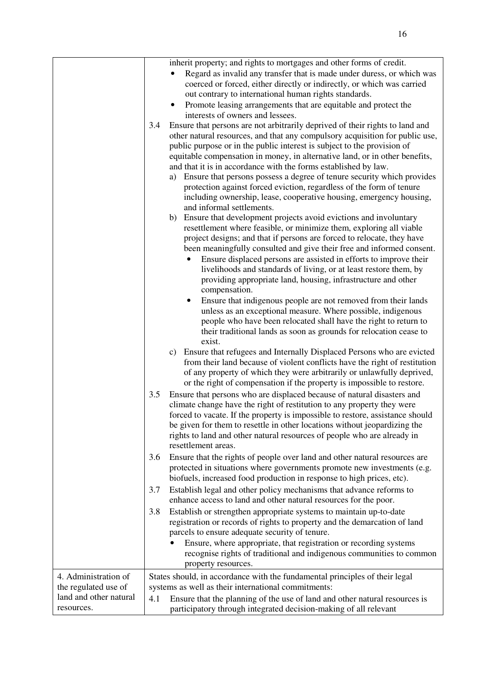|                                      |     | inherit property; and rights to mortgages and other forms of credit.<br>Regard as invalid any transfer that is made under duress, or which was                                                                                                                                                                                                                                                                                                                                                                                                                                                                                                                                                                                                                                                                                                                                                                                                                                                                                                                                                                                                                                                                                                                                                                                                                                                                                                                                                                                                                                                                                                                                                                               |
|--------------------------------------|-----|------------------------------------------------------------------------------------------------------------------------------------------------------------------------------------------------------------------------------------------------------------------------------------------------------------------------------------------------------------------------------------------------------------------------------------------------------------------------------------------------------------------------------------------------------------------------------------------------------------------------------------------------------------------------------------------------------------------------------------------------------------------------------------------------------------------------------------------------------------------------------------------------------------------------------------------------------------------------------------------------------------------------------------------------------------------------------------------------------------------------------------------------------------------------------------------------------------------------------------------------------------------------------------------------------------------------------------------------------------------------------------------------------------------------------------------------------------------------------------------------------------------------------------------------------------------------------------------------------------------------------------------------------------------------------------------------------------------------------|
|                                      |     | coerced or forced, either directly or indirectly, or which was carried                                                                                                                                                                                                                                                                                                                                                                                                                                                                                                                                                                                                                                                                                                                                                                                                                                                                                                                                                                                                                                                                                                                                                                                                                                                                                                                                                                                                                                                                                                                                                                                                                                                       |
|                                      |     | out contrary to international human rights standards.                                                                                                                                                                                                                                                                                                                                                                                                                                                                                                                                                                                                                                                                                                                                                                                                                                                                                                                                                                                                                                                                                                                                                                                                                                                                                                                                                                                                                                                                                                                                                                                                                                                                        |
|                                      |     | Promote leasing arrangements that are equitable and protect the                                                                                                                                                                                                                                                                                                                                                                                                                                                                                                                                                                                                                                                                                                                                                                                                                                                                                                                                                                                                                                                                                                                                                                                                                                                                                                                                                                                                                                                                                                                                                                                                                                                              |
|                                      |     | interests of owners and lessees.                                                                                                                                                                                                                                                                                                                                                                                                                                                                                                                                                                                                                                                                                                                                                                                                                                                                                                                                                                                                                                                                                                                                                                                                                                                                                                                                                                                                                                                                                                                                                                                                                                                                                             |
|                                      | 3.4 | Ensure that persons are not arbitrarily deprived of their rights to land and<br>other natural resources, and that any compulsory acquisition for public use,<br>public purpose or in the public interest is subject to the provision of<br>equitable compensation in money, in alternative land, or in other benefits,<br>and that it is in accordance with the forms established by law.<br>Ensure that persons possess a degree of tenure security which provides<br>a)<br>protection against forced eviction, regardless of the form of tenure<br>including ownership, lease, cooperative housing, emergency housing,<br>and informal settlements.<br>Ensure that development projects avoid evictions and involuntary<br>b)<br>resettlement where feasible, or minimize them, exploring all viable<br>project designs; and that if persons are forced to relocate, they have<br>been meaningfully consulted and give their free and informed consent.<br>Ensure displaced persons are assisted in efforts to improve their<br>livelihoods and standards of living, or at least restore them, by<br>providing appropriate land, housing, infrastructure and other<br>compensation.<br>Ensure that indigenous people are not removed from their lands<br>$\bullet$<br>unless as an exceptional measure. Where possible, indigenous<br>people who have been relocated shall have the right to return to<br>their traditional lands as soon as grounds for relocation cease to<br>exist.<br>c) Ensure that refugees and Internally Displaced Persons who are evicted<br>from their land because of violent conflicts have the right of restitution<br>of any property of which they were arbitrarily or unlawfully deprived, |
|                                      |     | or the right of compensation if the property is impossible to restore.                                                                                                                                                                                                                                                                                                                                                                                                                                                                                                                                                                                                                                                                                                                                                                                                                                                                                                                                                                                                                                                                                                                                                                                                                                                                                                                                                                                                                                                                                                                                                                                                                                                       |
|                                      | 3.5 | Ensure that persons who are displaced because of natural disasters and                                                                                                                                                                                                                                                                                                                                                                                                                                                                                                                                                                                                                                                                                                                                                                                                                                                                                                                                                                                                                                                                                                                                                                                                                                                                                                                                                                                                                                                                                                                                                                                                                                                       |
|                                      |     | climate change have the right of restitution to any property they were<br>forced to vacate. If the property is impossible to restore, assistance should<br>be given for them to resettle in other locations without jeopardizing the<br>rights to land and other natural resources of people who are already in<br>resettlement areas.                                                                                                                                                                                                                                                                                                                                                                                                                                                                                                                                                                                                                                                                                                                                                                                                                                                                                                                                                                                                                                                                                                                                                                                                                                                                                                                                                                                       |
|                                      | 3.6 | Ensure that the rights of people over land and other natural resources are<br>protected in situations where governments promote new investments (e.g.<br>biofuels, increased food production in response to high prices, etc).                                                                                                                                                                                                                                                                                                                                                                                                                                                                                                                                                                                                                                                                                                                                                                                                                                                                                                                                                                                                                                                                                                                                                                                                                                                                                                                                                                                                                                                                                               |
|                                      | 3.7 | Establish legal and other policy mechanisms that advance reforms to<br>enhance access to land and other natural resources for the poor.                                                                                                                                                                                                                                                                                                                                                                                                                                                                                                                                                                                                                                                                                                                                                                                                                                                                                                                                                                                                                                                                                                                                                                                                                                                                                                                                                                                                                                                                                                                                                                                      |
|                                      | 3.8 | Establish or strengthen appropriate systems to maintain up-to-date<br>registration or records of rights to property and the demarcation of land<br>parcels to ensure adequate security of tenure.                                                                                                                                                                                                                                                                                                                                                                                                                                                                                                                                                                                                                                                                                                                                                                                                                                                                                                                                                                                                                                                                                                                                                                                                                                                                                                                                                                                                                                                                                                                            |
|                                      |     | Ensure, where appropriate, that registration or recording systems<br>recognise rights of traditional and indigenous communities to common<br>property resources.                                                                                                                                                                                                                                                                                                                                                                                                                                                                                                                                                                                                                                                                                                                                                                                                                                                                                                                                                                                                                                                                                                                                                                                                                                                                                                                                                                                                                                                                                                                                                             |
| 4. Administration of                 |     | States should, in accordance with the fundamental principles of their legal                                                                                                                                                                                                                                                                                                                                                                                                                                                                                                                                                                                                                                                                                                                                                                                                                                                                                                                                                                                                                                                                                                                                                                                                                                                                                                                                                                                                                                                                                                                                                                                                                                                  |
| the regulated use of                 |     | systems as well as their international commitments:                                                                                                                                                                                                                                                                                                                                                                                                                                                                                                                                                                                                                                                                                                                                                                                                                                                                                                                                                                                                                                                                                                                                                                                                                                                                                                                                                                                                                                                                                                                                                                                                                                                                          |
| land and other natural<br>resources. | 4.1 | Ensure that the planning of the use of land and other natural resources is<br>participatory through integrated decision-making of all relevant                                                                                                                                                                                                                                                                                                                                                                                                                                                                                                                                                                                                                                                                                                                                                                                                                                                                                                                                                                                                                                                                                                                                                                                                                                                                                                                                                                                                                                                                                                                                                                               |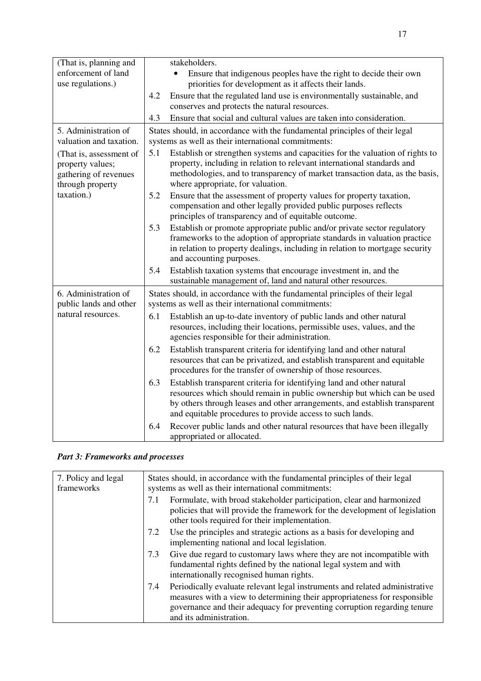| (That is, planning and  |     | stakeholders.                                                                                                                                         |
|-------------------------|-----|-------------------------------------------------------------------------------------------------------------------------------------------------------|
| enforcement of land     |     | Ensure that indigenous peoples have the right to decide their own                                                                                     |
| use regulations.)       |     | priorities for development as it affects their lands.                                                                                                 |
|                         | 4.2 | Ensure that the regulated land use is environmentally sustainable, and                                                                                |
|                         |     | conserves and protects the natural resources.                                                                                                         |
|                         | 4.3 | Ensure that social and cultural values are taken into consideration.                                                                                  |
| 5. Administration of    |     | States should, in accordance with the fundamental principles of their legal                                                                           |
| valuation and taxation. |     | systems as well as their international commitments:                                                                                                   |
| (That is, assessment of | 5.1 | Establish or strengthen systems and capacities for the valuation of rights to                                                                         |
| property values;        |     | property, including in relation to relevant international standards and                                                                               |
| gathering of revenues   |     | methodologies, and to transparency of market transaction data, as the basis,                                                                          |
| through property        |     | where appropriate, for valuation.                                                                                                                     |
| taxation.)              | 5.2 | Ensure that the assessment of property values for property taxation,                                                                                  |
|                         |     | compensation and other legally provided public purposes reflects<br>principles of transparency and of equitable outcome.                              |
|                         |     |                                                                                                                                                       |
|                         | 5.3 | Establish or promote appropriate public and/or private sector regulatory<br>frameworks to the adoption of appropriate standards in valuation practice |
|                         |     | in relation to property dealings, including in relation to mortgage security                                                                          |
|                         |     | and accounting purposes.                                                                                                                              |
|                         | 5.4 | Establish taxation systems that encourage investment in, and the                                                                                      |
|                         |     | sustainable management of, land and natural other resources.                                                                                          |
| 6. Administration of    |     | States should, in accordance with the fundamental principles of their legal                                                                           |
| public lands and other  |     | systems as well as their international commitments:                                                                                                   |
| natural resources.      | 6.1 | Establish an up-to-date inventory of public lands and other natural                                                                                   |
|                         |     | resources, including their locations, permissible uses, values, and the                                                                               |
|                         |     | agencies responsible for their administration.                                                                                                        |
|                         | 6.2 | Establish transparent criteria for identifying land and other natural                                                                                 |
|                         |     | resources that can be privatized, and establish transparent and equitable                                                                             |
|                         |     | procedures for the transfer of ownership of those resources.                                                                                          |
|                         | 6.3 | Establish transparent criteria for identifying land and other natural                                                                                 |
|                         |     | resources which should remain in public ownership but which can be used                                                                               |
|                         |     | by others through leases and other arrangements, and establish transparent                                                                            |
|                         |     | and equitable procedures to provide access to such lands.                                                                                             |
|                         | 6.4 | Recover public lands and other natural resources that have been illegally                                                                             |
|                         |     | appropriated or allocated.                                                                                                                            |

## *Part 3: Frameworks and processes*

| 7. Policy and legal<br>frameworks | States should, in accordance with the fundamental principles of their legal<br>systems as well as their international commitments:                                                                                                                                     |  |
|-----------------------------------|------------------------------------------------------------------------------------------------------------------------------------------------------------------------------------------------------------------------------------------------------------------------|--|
|                                   | Formulate, with broad stakeholder participation, clear and harmonized<br>7.1<br>policies that will provide the framework for the development of legislation<br>other tools required for their implementation.                                                          |  |
|                                   | Use the principles and strategic actions as a basis for developing and<br>7.2<br>implementing national and local legislation.                                                                                                                                          |  |
|                                   | Give due regard to customary laws where they are not incompatible with<br>7.3<br>fundamental rights defined by the national legal system and with<br>internationally recognised human rights.                                                                          |  |
|                                   | Periodically evaluate relevant legal instruments and related administrative<br>7.4<br>measures with a view to determining their appropriateness for responsible<br>governance and their adequacy for preventing corruption regarding tenure<br>and its administration. |  |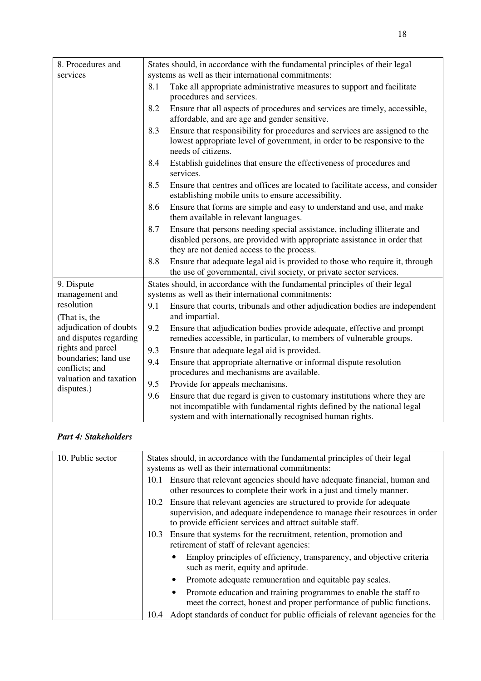| 8. Procedures and                                | States should, in accordance with the fundamental principles of their legal                                                                                                                                           |  |  |  |
|--------------------------------------------------|-----------------------------------------------------------------------------------------------------------------------------------------------------------------------------------------------------------------------|--|--|--|
| services                                         | systems as well as their international commitments:                                                                                                                                                                   |  |  |  |
|                                                  | 8.1<br>Take all appropriate administrative measures to support and facilitate<br>procedures and services.                                                                                                             |  |  |  |
|                                                  | 8.2<br>Ensure that all aspects of procedures and services are timely, accessible,<br>affordable, and are age and gender sensitive.                                                                                    |  |  |  |
|                                                  | Ensure that responsibility for procedures and services are assigned to the<br>8.3<br>lowest appropriate level of government, in order to be responsive to the<br>needs of citizens.                                   |  |  |  |
|                                                  | Establish guidelines that ensure the effectiveness of procedures and<br>8.4<br>services.                                                                                                                              |  |  |  |
|                                                  | 8.5<br>Ensure that centres and offices are located to facilitate access, and consider<br>establishing mobile units to ensure accessibility.                                                                           |  |  |  |
|                                                  | Ensure that forms are simple and easy to understand and use, and make<br>8.6<br>them available in relevant languages.                                                                                                 |  |  |  |
|                                                  | Ensure that persons needing special assistance, including illiterate and<br>8.7<br>disabled persons, are provided with appropriate assistance in order that<br>they are not denied access to the process.             |  |  |  |
|                                                  | Ensure that adequate legal aid is provided to those who require it, through<br>8.8<br>the use of governmental, civil society, or private sector services.                                                             |  |  |  |
| 9. Dispute<br>management and                     | States should, in accordance with the fundamental principles of their legal<br>systems as well as their international commitments:                                                                                    |  |  |  |
| resolution<br>(That is, the                      | 9.1<br>Ensure that courts, tribunals and other adjudication bodies are independent<br>and impartial.                                                                                                                  |  |  |  |
| adjudication of doubts<br>and disputes regarding | 9.2<br>Ensure that adjudication bodies provide adequate, effective and prompt<br>remedies accessible, in particular, to members of vulnerable groups.                                                                 |  |  |  |
| rights and parcel                                | 9.3<br>Ensure that adequate legal aid is provided.                                                                                                                                                                    |  |  |  |
| boundaries; land use<br>conflicts; and           | 9.4<br>Ensure that appropriate alternative or informal dispute resolution<br>procedures and mechanisms are available.                                                                                                 |  |  |  |
| valuation and taxation<br>disputes.)             | 9.5<br>Provide for appeals mechanisms.                                                                                                                                                                                |  |  |  |
|                                                  | 9.6<br>Ensure that due regard is given to customary institutions where they are<br>not incompatible with fundamental rights defined by the national legal<br>system and with internationally recognised human rights. |  |  |  |

## *Part 4: Stakeholders*

| 10. Public sector | States should, in accordance with the fundamental principles of their legal<br>systems as well as their international commitments:                                                                                     |  |  |
|-------------------|------------------------------------------------------------------------------------------------------------------------------------------------------------------------------------------------------------------------|--|--|
|                   | Ensure that relevant agencies should have adequate financial, human and<br>10.1<br>other resources to complete their work in a just and timely manner.                                                                 |  |  |
|                   | Ensure that relevant agencies are structured to provide for adequate<br>10.2<br>supervision, and adequate independence to manage their resources in order<br>to provide efficient services and attract suitable staff. |  |  |
|                   | Ensure that systems for the recruitment, retention, promotion and<br>10.3<br>retirement of staff of relevant agencies:                                                                                                 |  |  |
|                   | Employ principles of efficiency, transparency, and objective criteria<br>such as merit, equity and aptitude.                                                                                                           |  |  |
|                   | Promote adequate remuneration and equitable pay scales.                                                                                                                                                                |  |  |
|                   | Promote education and training programmes to enable the staff to<br>meet the correct, honest and proper performance of public functions.                                                                               |  |  |
|                   | Adopt standards of conduct for public officials of relevant agencies for the<br>10.4                                                                                                                                   |  |  |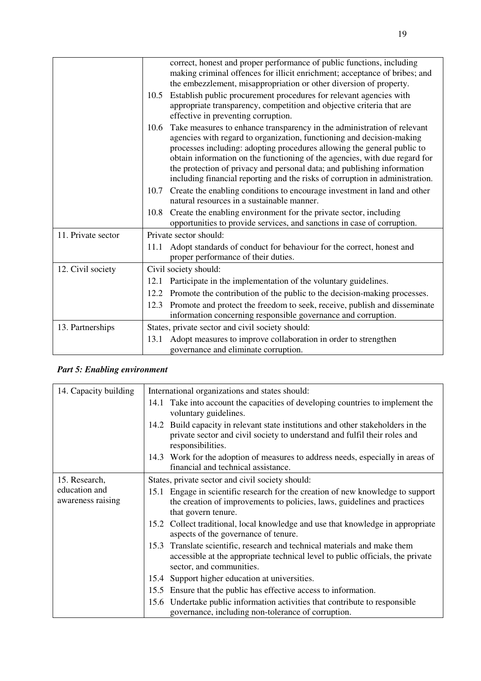|                    | correct, honest and proper performance of public functions, including<br>making criminal offences for illicit enrichment; acceptance of bribes; and<br>the embezzlement, misappropriation or other diversion of property.                                                                                                                                                                                                                                                    |  |
|--------------------|------------------------------------------------------------------------------------------------------------------------------------------------------------------------------------------------------------------------------------------------------------------------------------------------------------------------------------------------------------------------------------------------------------------------------------------------------------------------------|--|
|                    | Establish public procurement procedures for relevant agencies with<br>10.5<br>appropriate transparency, competition and objective criteria that are<br>effective in preventing corruption.                                                                                                                                                                                                                                                                                   |  |
|                    | Take measures to enhance transparency in the administration of relevant<br>10.6<br>agencies with regard to organization, functioning and decision-making<br>processes including: adopting procedures allowing the general public to<br>obtain information on the functioning of the agencies, with due regard for<br>the protection of privacy and personal data; and publishing information<br>including financial reporting and the risks of corruption in administration. |  |
|                    | Create the enabling conditions to encourage investment in land and other<br>10.7<br>natural resources in a sustainable manner.                                                                                                                                                                                                                                                                                                                                               |  |
|                    | Create the enabling environment for the private sector, including<br>10.8<br>opportunities to provide services, and sanctions in case of corruption.                                                                                                                                                                                                                                                                                                                         |  |
| 11. Private sector | Private sector should:                                                                                                                                                                                                                                                                                                                                                                                                                                                       |  |
|                    | Adopt standards of conduct for behaviour for the correct, honest and<br>11.1<br>proper performance of their duties.                                                                                                                                                                                                                                                                                                                                                          |  |
| 12. Civil society  | Civil society should:                                                                                                                                                                                                                                                                                                                                                                                                                                                        |  |
|                    | Participate in the implementation of the voluntary guidelines.<br>12.1                                                                                                                                                                                                                                                                                                                                                                                                       |  |
|                    | 12.2 Promote the contribution of the public to the decision-making processes.                                                                                                                                                                                                                                                                                                                                                                                                |  |
|                    | Promote and protect the freedom to seek, receive, publish and disseminate<br>12.3<br>information concerning responsible governance and corruption.                                                                                                                                                                                                                                                                                                                           |  |
| 13. Partnerships   | States, private sector and civil society should:                                                                                                                                                                                                                                                                                                                                                                                                                             |  |
|                    | Adopt measures to improve collaboration in order to strengthen<br>13.1<br>governance and eliminate corruption.                                                                                                                                                                                                                                                                                                                                                               |  |

## *Part 5: Enabling environment*

| 14. Capacity building              | International organizations and states should:                                                                                                                                          |
|------------------------------------|-----------------------------------------------------------------------------------------------------------------------------------------------------------------------------------------|
|                                    | 14.1 Take into account the capacities of developing countries to implement the<br>voluntary guidelines.                                                                                 |
|                                    | 14.2 Build capacity in relevant state institutions and other stakeholders in the<br>private sector and civil society to understand and fulfil their roles and<br>responsibilities.      |
|                                    | 14.3 Work for the adoption of measures to address needs, especially in areas of<br>financial and technical assistance.                                                                  |
| 15. Research,                      | States, private sector and civil society should:                                                                                                                                        |
| education and<br>awareness raising | 15.1 Engage in scientific research for the creation of new knowledge to support<br>the creation of improvements to policies, laws, guidelines and practices<br>that govern tenure.      |
|                                    | Collect traditional, local knowledge and use that knowledge in appropriate<br>15.2<br>aspects of the governance of tenure.                                                              |
|                                    | 15.3 Translate scientific, research and technical materials and make them<br>accessible at the appropriate technical level to public officials, the private<br>sector, and communities. |
|                                    | Support higher education at universities.<br>15.4                                                                                                                                       |
|                                    | 15.5 Ensure that the public has effective access to information.                                                                                                                        |
|                                    | Undertake public information activities that contribute to responsible<br>15.6<br>governance, including non-tolerance of corruption.                                                    |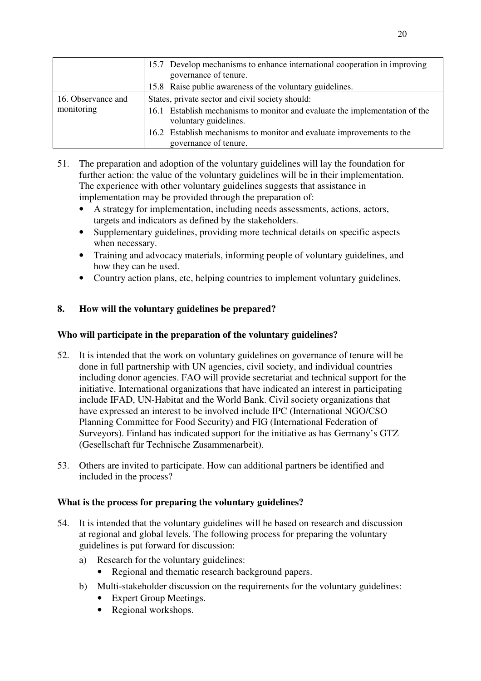|                    | 15.7 Develop mechanisms to enhance international cooperation in improving<br>governance of tenure.   |
|--------------------|------------------------------------------------------------------------------------------------------|
|                    | 15.8 Raise public awareness of the voluntary guidelines.                                             |
| 16. Observance and | States, private sector and civil society should:                                                     |
| monitoring         | 16.1 Establish mechanisms to monitor and evaluate the implementation of the<br>voluntary guidelines. |
|                    | 16.2 Establish mechanisms to monitor and evaluate improvements to the<br>governance of tenure.       |

- 51. The preparation and adoption of the voluntary guidelines will lay the foundation for further action: the value of the voluntary guidelines will be in their implementation. The experience with other voluntary guidelines suggests that assistance in implementation may be provided through the preparation of:
	- A strategy for implementation, including needs assessments, actions, actors, targets and indicators as defined by the stakeholders.
	- Supplementary guidelines, providing more technical details on specific aspects when necessary.
	- Training and advocacy materials, informing people of voluntary guidelines, and how they can be used.
	- Country action plans, etc, helping countries to implement voluntary guidelines.

## **8. How will the voluntary guidelines be prepared?**

## **Who will participate in the preparation of the voluntary guidelines?**

- 52. It is intended that the work on voluntary guidelines on governance of tenure will be done in full partnership with UN agencies, civil society, and individual countries including donor agencies. FAO will provide secretariat and technical support for the initiative. International organizations that have indicated an interest in participating include IFAD, UN-Habitat and the World Bank. Civil society organizations that have expressed an interest to be involved include IPC (International NGO/CSO Planning Committee for Food Security) and FIG (International Federation of Surveyors). Finland has indicated support for the initiative as has Germany's GTZ (Gesellschaft für Technische Zusammenarbeit).
- 53. Others are invited to participate. How can additional partners be identified and included in the process?

## **What is the process for preparing the voluntary guidelines?**

- 54. It is intended that the voluntary guidelines will be based on research and discussion at regional and global levels. The following process for preparing the voluntary guidelines is put forward for discussion:
	- a) Research for the voluntary guidelines:
		- Regional and thematic research background papers.
	- b) Multi-stakeholder discussion on the requirements for the voluntary guidelines:
		- Expert Group Meetings.
		- Regional workshops.